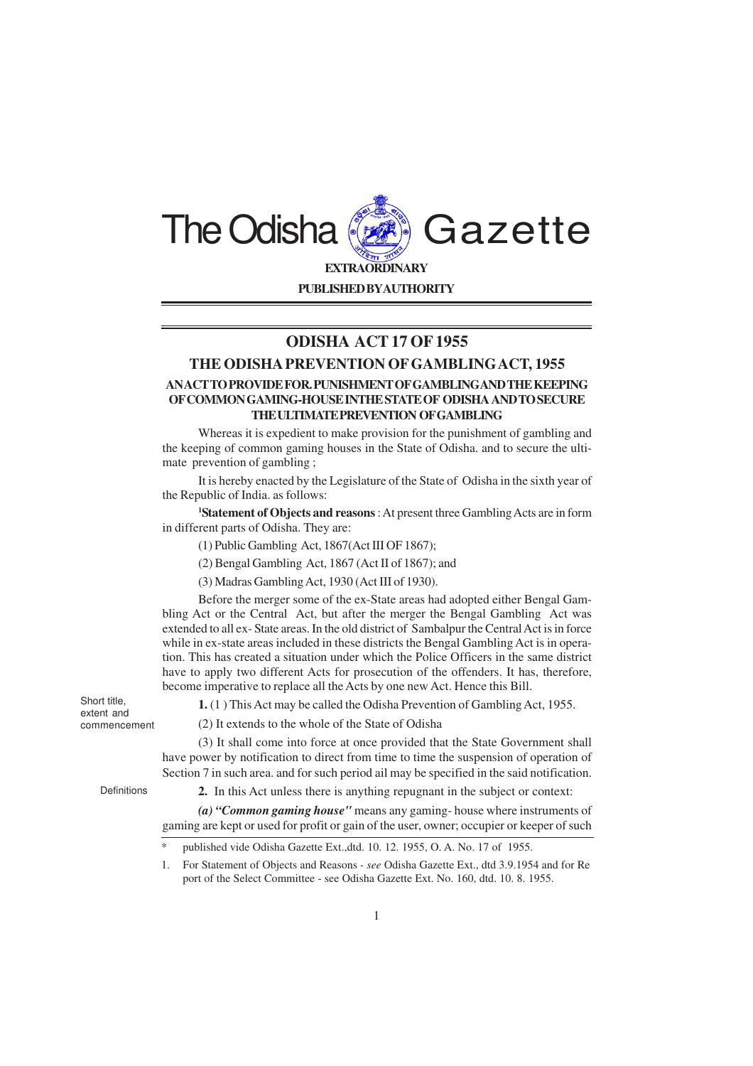

## **ODISHA ACT 17 OF 1955**

## **THE ODISHA PREVENTION OF GAMBLINGACT, 1955**

## **AN ACT TO PROVIDE FOR. PUNISHMENT OF GAMBLINGAND THE KEEPING OF COMMON GAMING-HOUSE INTHE STATE OF ODISHA AND TO SECURE THE ULTIMATE PREVENTION OF GAMBLING**

Whereas it is expedient to make provision for the punishment of gambling and the keeping of common gaming houses in the State of Odisha. and to secure the ultimate prevention of gambling ;

It is hereby enacted by the Legislature of the State of Odisha in the sixth year of the Republic of India. as follows:

**<sup>1</sup>Statement of Objects and reasons** : At present three Gambling Acts are in form in different parts of Odisha. They are:

(1) Public Gambling Act, 1867(Act III OF 1867);

(2) Bengal Gambling Act, 1867 (Act II of 1867); and

(3) Madras Gambling Act, 1930 (Act III of 1930).

Before the merger some of the ex-State areas had adopted either Bengal Gambling Act or the Central Act, but after the merger the Bengal Gambling Act was extended to all ex- State areas. In the old district of Sambalpur the Central Act is in force while in ex-state areas included in these districts the Bengal Gambling Act is in operation. This has created a situation under which the Police Officers in the same district have to apply two different Acts for prosecution of the offenders. It has, therefore, become imperative to replace all the Acts by one new Act. Hence this Bill.

Short title, extent and commencement

**1.** (1 ) This Act may be called the Odisha Prevention of Gambling Act, 1955.

(2) It extends to the whole of the State of Odisha

(3) It shall come into force at once provided that the State Government shall have power by notification to direct from time to time the suspension of operation of Section 7 in such area. and for such period ail may be specified in the said notification.

Definitions

**2.** In this Act unless there is anything repugnant in the subject or context:

*(a) "Common gaming house"* means any gaming- house where instruments of gaming are kept or used for profit or gain of the user, owner; occupier or keeper of such

1. For Statement of Objects and Reasons *- see* Odisha Gazette Ext., dtd 3.9.1954 and for Re port of the Select Committee - see Odisha Gazette Ext. No. 160, dtd. 10. 8. 1955.

published vide Odisha Gazette Ext.,dtd. 10. 12. 1955, O. A. No. 17 of 1955.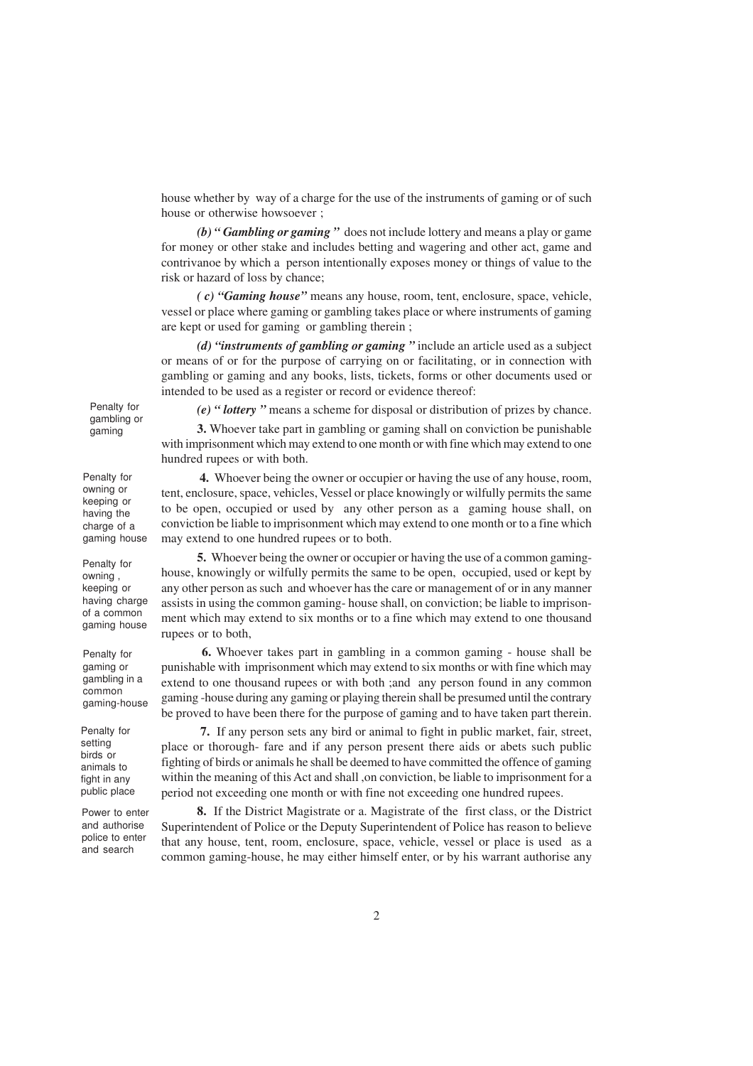house whether by way of a charge for the use of the instruments of gaming or of such house or otherwise howsoever ;

*(b) " Gambling or gaming "* does not include lottery and means a play or game for money or other stake and includes betting and wagering and other act, game and contrivanoe by which a person intentionally exposes money or things of value to the risk or hazard of loss by chance;

*( c) "Gaming house"* means any house, room, tent, enclosure, space, vehicle, vessel or place where gaming or gambling takes place or where instruments of gaming are kept or used for gaming or gambling therein ;

*(d) "instruments of gambling or gaming "* include an article used as a subject or means of or for the purpose of carrying on or facilitating, or in connection with gambling or gaming and any books, lists, tickets, forms or other documents used or intended to be used as a register or record or evidence thereof:

Penalty for gambling or gaming

Penalty for owning or keeping or having the charge of a gaming house

Penalty for owning , keeping or having charge of a common gaming house

Penalty for gaming or gambling in a common gaming-house

Penalty for setting birds or animals to fight in any public place

Power to enter and authorise police to enter and search

*(e) " lottery "* means a scheme for disposal or distribution of prizes by chance.

**3.** Whoever take part in gambling or gaming shall on conviction be punishable with imprisonment which may extend to one month or with fine which may extend to one hundred rupees or with both.

 **4.** Whoever being the owner or occupier or having the use of any house, room, tent, enclosure, space, vehicles, Vessel or place knowingly or wilfully permits the same to be open, occupied or used by any other person as a gaming house shall, on conviction be liable to imprisonment which may extend to one month or to a fine which may extend to one hundred rupees or to both.

**5.** Whoever being the owner or occupier or having the use of a common gaminghouse, knowingly or wilfully permits the same to be open, occupied, used or kept by any other person as such and whoever has the care or management of or in any manner assists in using the common gaming- house shall, on conviction; be liable to imprisonment which may extend to six months or to a fine which may extend to one thousand rupees or to both,

 **6.** Whoever takes part in gambling in a common gaming - house shall be punishable with imprisonment which may extend to six months or with fine which may extend to one thousand rupees or with both ;and any person found in any common gaming -house during any gaming or playing therein shall be presumed until the contrary be proved to have been there for the purpose of gaming and to have taken part therein.

 **7.** If any person sets any bird or animal to fight in public market, fair, street, place or thorough- fare and if any person present there aids or abets such public fighting of birds or animals he shall be deemed to have committed the offence of gaming within the meaning of this Act and shall ,on conviction, be liable to imprisonment for a period not exceeding one month or with fine not exceeding one hundred rupees.

**8.** If the District Magistrate or a. Magistrate of the first class, or the District Superintendent of Police or the Deputy Superintendent of Police has reason to believe that any house, tent, room, enclosure, space, vehicle, vessel or place is used as a common gaming-house, he may either himself enter, or by his warrant authorise any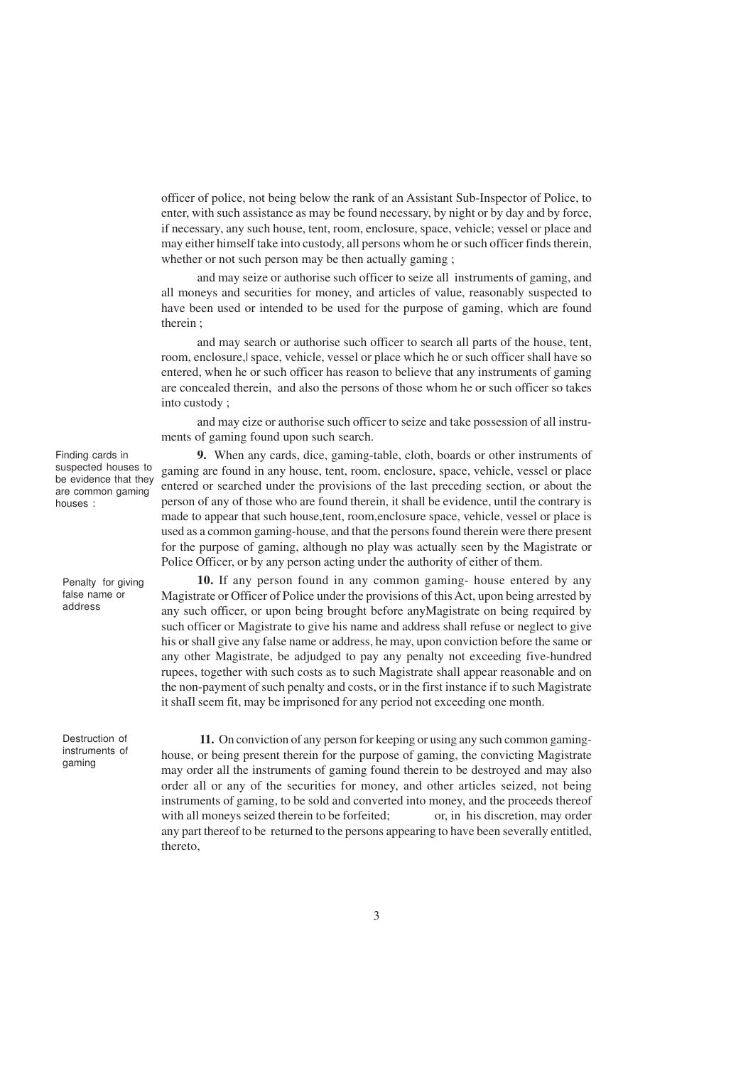officer of police, not being below the rank of an Assistant Sub-Inspector of Police, to enter, with such assistance as may be found necessary, by night or by day and by force, if necessary, any such house, tent, room, enclosure, space, vehicle; vessel or place and may either himself take into custody, all persons whom he or such officer finds therein, whether or not such person may be then actually gaming ;

and may seize or authorise such officer to seize all instruments of gaming, and all moneys and securities for money, and articles of value, reasonably suspected to have been used or intended to be used for the purpose of gaming, which are found therein ;

and may search or authorise such officer to search all parts of the house, tent, room, enclosure,| space, vehicle, vessel or place which he or such officer shall have so entered, when he or such officer has reason to believe that any instruments of gaming are concealed therein, and also the persons of those whom he or such officer so takes into custody ;

and may eize or authorise such officer to seize and take possession of all instruments of gaming found upon such search.

Finding cards in suspected houses to be evidence that they are common gaming houses :

Penalty for giving false name or address

Destruction of instruments of gaming

**9.** When any cards, dice, gaming-table, cloth, boards or other instruments of gaming are found in any house, tent, room, enclosure, space, vehicle, vessel or place entered or searched under the provisions of the last preceding section, or about the person of any of those who are found therein, it shall be evidence, until the contrary is made to appear that such house,tent, room,enclosure space, vehicle, vessel or place is used as a common gaming-house, and that the persons found therein were there present for the purpose of gaming, although no play was actually seen by the Magistrate or Police Officer, or by any person acting under the authority of either of them.

**10.** If any person found in any common gaming- house entered by any Magistrate or Officer of Police under the provisions of this Act, upon being arrested by any such officer, or upon being brought before anyMagistrate on being required by such officer or Magistrate to give his name and address shall refuse or neglect to give his or shall give any false name or address, he may, upon conviction before the same or any other Magistrate, be adjudged to pay any penalty not exceeding five-hundred rupees, together with such costs as to such Magistrate shall appear reasonable and on the non-payment of such penalty and costs, or in the first instance if to such Magistrate it shaIl seem fit, may be imprisoned for any period not exceeding one month.

 **11.** On conviction of any person for keeping or using any such common gaminghouse, or being present therein for the purpose of gaming, the convicting Magistrate may order all the instruments of gaming found therein to be destroyed and may also order all or any of the securities for money, and other articles seized, not being instruments of gaming, to be sold and converted into money, and the proceeds thereof with all moneys seized therein to be forfeited; or, in his discretion, may order any part thereof to be returned to the persons appearing to have been severally entitled, thereto,